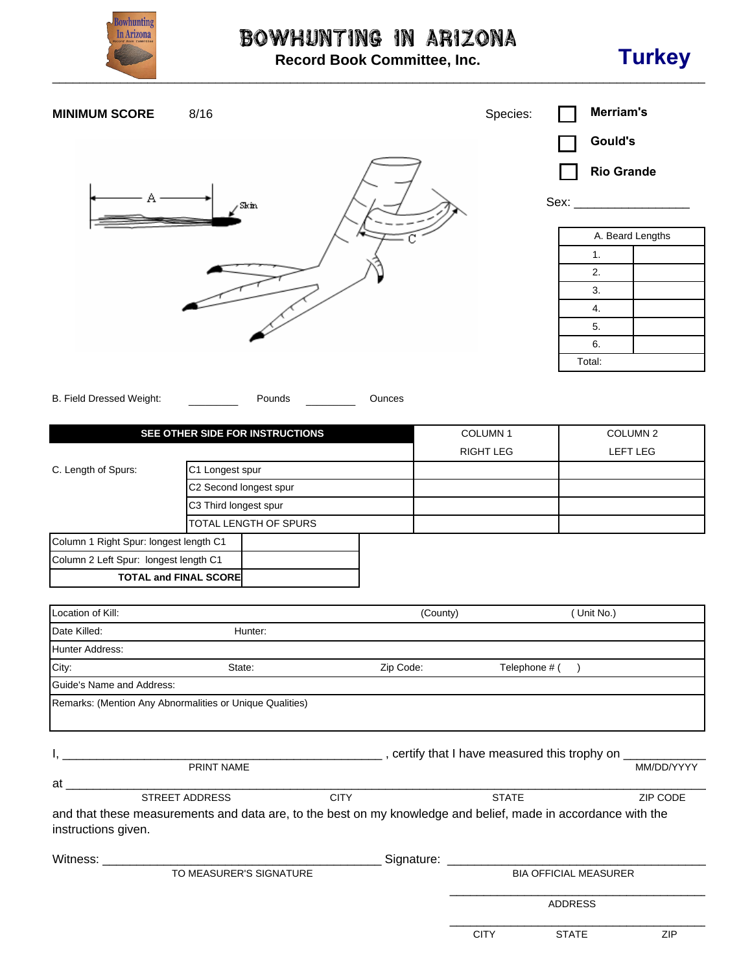

## Bowhunting in Arizona

**Record Book Committee, Inc.**



## **MINIMUM SCORE** 8/16 8/16

| ${\rm Skm}$ |  |
|-------------|--|
|             |  |

| Sex: |        |                  |  |  |  |  |
|------|--------|------------------|--|--|--|--|
|      |        |                  |  |  |  |  |
|      |        | A. Beard Lengths |  |  |  |  |
|      | 1.     |                  |  |  |  |  |
|      | 2.     |                  |  |  |  |  |
|      | 3.     |                  |  |  |  |  |
|      | 4.     |                  |  |  |  |  |
|      | 5.     |                  |  |  |  |  |
|      | 6.     |                  |  |  |  |  |
|      | Total: |                  |  |  |  |  |

**Gould's**

 **Rio Grande**

B. Field Dressed Weight: <br>
Pounds Cunces

| SEE OTHER SIDE FOR INSTRUCTIONS        |                              | COLUMN <sub>1</sub> | COLUMN <sub>2</sub> |                 |
|----------------------------------------|------------------------------|---------------------|---------------------|-----------------|
|                                        |                              |                     | <b>RIGHT LEG</b>    | <b>LEFT LEG</b> |
| C. Length of Spurs:                    | C1 Longest spur              |                     |                     |                 |
|                                        | C2 Second longest spur       |                     |                     |                 |
|                                        | C3 Third longest spur        |                     |                     |                 |
| TOTAL LENGTH OF SPURS                  |                              |                     |                     |                 |
| Column 1 Right Spur: longest length C1 |                              |                     |                     |                 |
| Column 2 Left Spur: longest length C1  |                              |                     |                     |                 |
|                                        | <b>TOTAL and FINAL SCORE</b> |                     |                     |                 |

| Location of Kill:         |                                                          |                                                                                                               | (County)                                                     | (Unit No.)                   |
|---------------------------|----------------------------------------------------------|---------------------------------------------------------------------------------------------------------------|--------------------------------------------------------------|------------------------------|
| Date Killed:              | Hunter:                                                  |                                                                                                               |                                                              |                              |
| <b>Hunter Address:</b>    |                                                          |                                                                                                               |                                                              |                              |
| City:                     | State:                                                   | Zip Code:                                                                                                     | Telephone # (                                                |                              |
| Guide's Name and Address: |                                                          |                                                                                                               |                                                              |                              |
|                           | Remarks: (Mention Any Abnormalities or Unique Qualities) |                                                                                                               |                                                              |                              |
|                           |                                                          |                                                                                                               |                                                              |                              |
|                           |                                                          |                                                                                                               |                                                              |                              |
|                           |                                                          |                                                                                                               | ____, certify that I have measured this trophy on __________ |                              |
|                           | PRINT NAME                                               |                                                                                                               |                                                              | MM/DD/YYYY                   |
| at                        |                                                          |                                                                                                               |                                                              |                              |
|                           | <b>STREET ADDRESS</b>                                    | <b>CITY</b>                                                                                                   | <b>STATE</b>                                                 | <b>ZIP CODE</b>              |
| instructions given.       |                                                          | and that these measurements and data are, to the best on my knowledge and belief, made in accordance with the |                                                              |                              |
| Witness: <b>Witness</b>   |                                                          |                                                                                                               | Signature: ___________                                       |                              |
| TO MEASURER'S SIGNATURE   |                                                          |                                                                                                               |                                                              | <b>BIA OFFICIAL MEASURER</b> |
|                           |                                                          |                                                                                                               |                                                              | <b>ADDRESS</b>               |

 $\overline{a}$